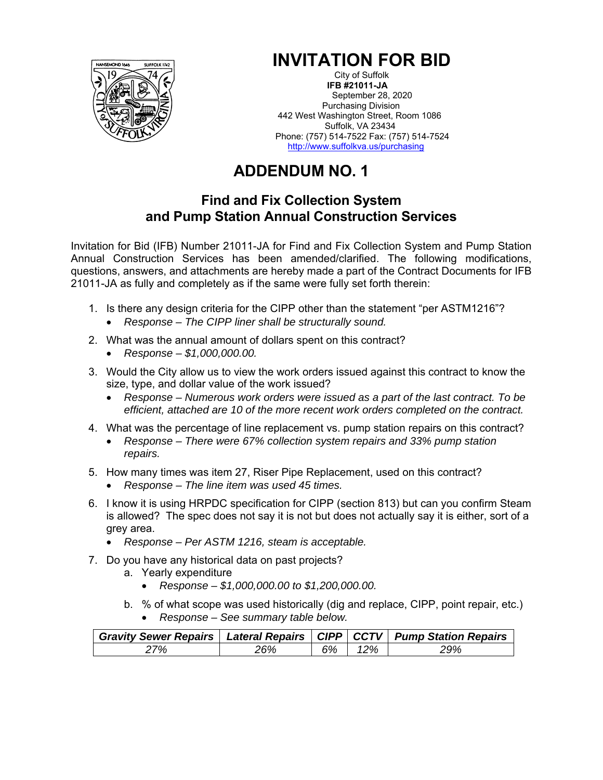

## **INVITATION FOR BID**

City of Suffolk  **IFB #21011-JA**  September 28, 2020 Purchasing Division 442 West Washington Street, Room 1086 Suffolk, VA 23434 Phone: (757) 514-7522 Fax: (757) 514-7524 http://www.suffolkva.us/purchasing

## **ADDENDUM NO. 1**

## **Find and Fix Collection System and Pump Station Annual Construction Services**

Invitation for Bid (IFB) Number 21011-JA for Find and Fix Collection System and Pump Station Annual Construction Services has been amended/clarified. The following modifications, questions, answers, and attachments are hereby made a part of the Contract Documents for IFB 21011-JA as fully and completely as if the same were fully set forth therein:

- 1. Is there any design criteria for the CIPP other than the statement "per ASTM1216"? *Response – The CIPP liner shall be structurally sound.*
- 2. What was the annual amount of dollars spent on this contract?
	- *Response \$1,000,000.00.*
- 3. Would the City allow us to view the work orders issued against this contract to know the size, type, and dollar value of the work issued?
	- *Response Numerous work orders were issued as a part of the last contract. To be efficient, attached are 10 of the more recent work orders completed on the contract.*
- 4. What was the percentage of line replacement vs. pump station repairs on this contract?
	- *Response There were 67% collection system repairs and 33% pump station repairs.*
- 5. How many times was item 27, Riser Pipe Replacement, used on this contract?
	- *Response The line item was used 45 times.*
- 6. I know it is using HRPDC specification for CIPP (section 813) but can you confirm Steam is allowed? The spec does not say it is not but does not actually say it is either, sort of a grey area.
	- *Response Per ASTM 1216, steam is acceptable.*
- 7. Do you have any historical data on past projects?
	- a. Yearly expenditure
		- *Response \$1,000,000.00 to \$1,200,000.00.*
	- b. % of what scope was used historically (dig and replace, CIPP, point repair, etc.) *Response – See summary table below.*

| Gravity Sewer Repairs   Lateral Repairs   CIPP   CCTV   Pump Station Repairs |     |    |     |     |
|------------------------------------------------------------------------------|-----|----|-----|-----|
| 27%                                                                          | 26% | 6% | 12% | 29% |